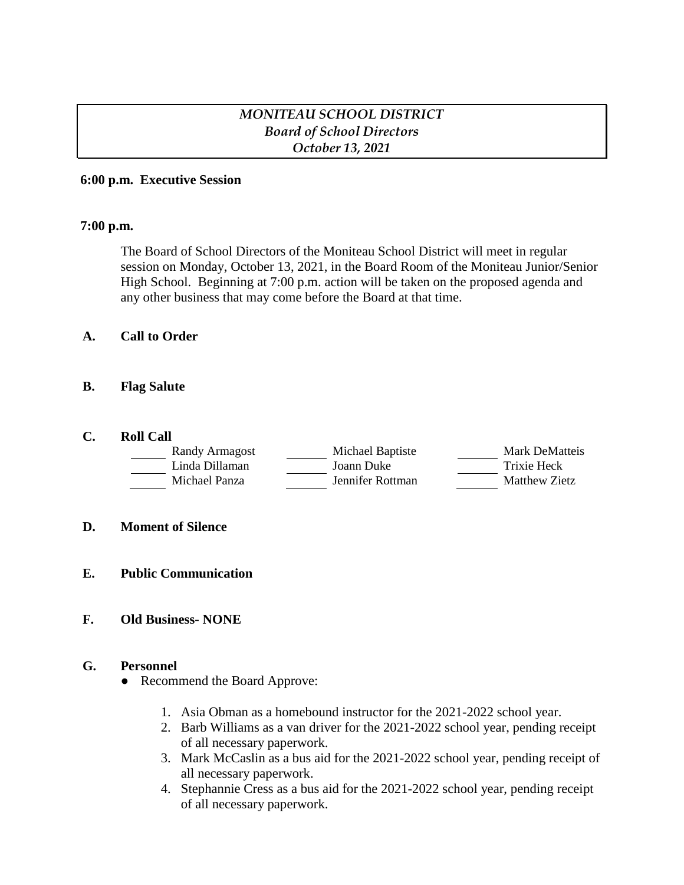## *MONITEAU SCHOOL DISTRICT Board of School Directors October 13, 2021*

#### **6:00 p.m. Executive Session**

#### **7:00 p.m.**

The Board of School Directors of the Moniteau School District will meet in regular session on Monday, October 13, 2021, in the Board Room of the Moniteau Junior/Senior High School. Beginning at 7:00 p.m. action will be taken on the proposed agenda and any other business that may come before the Board at that time.

#### **A. Call to Order**

#### **B. Flag Salute**

#### **C. Roll Call**

| Randy Armagost | Michael Baptiste | Mark DeMatteis |
|----------------|------------------|----------------|
| Linda Dillaman | Joann Duke       | Trixie Heck    |
| Michael Panza  | Jennifer Rottman | Matthew Zietz  |

#### **D. Moment of Silence**

**E. Public Communication**

### **F. Old Business- NONE**

#### **G. Personnel**

- Recommend the Board Approve:
	- 1. Asia Obman as a homebound instructor for the 2021-2022 school year.
	- 2. Barb Williams as a van driver for the 2021-2022 school year, pending receipt of all necessary paperwork.
	- 3. Mark McCaslin as a bus aid for the 2021-2022 school year, pending receipt of all necessary paperwork.
	- 4. Stephannie Cress as a bus aid for the 2021-2022 school year, pending receipt of all necessary paperwork.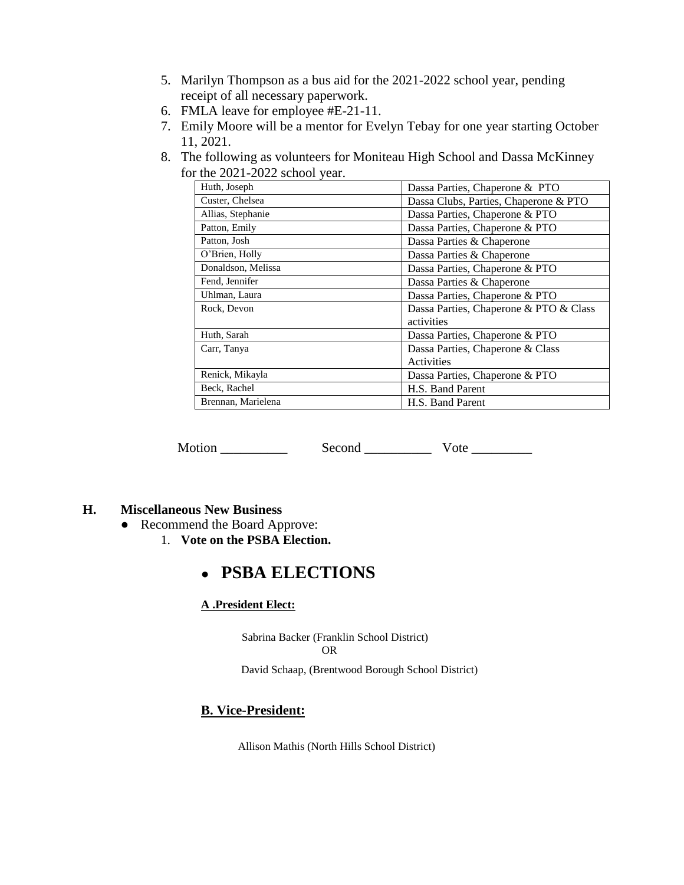- 5. Marilyn Thompson as a bus aid for the 2021-2022 school year, pending receipt of all necessary paperwork.
- 6. FMLA leave for employee #E-21-11.
- 7. Emily Moore will be a mentor for Evelyn Tebay for one year starting October 11, 2021.
- 8. The following as volunteers for Moniteau High School and Dassa McKinney for the 2021-2022 school year.

| Huth, Joseph       | Dassa Parties, Chaperone & PTO         |
|--------------------|----------------------------------------|
| Custer, Chelsea    | Dassa Clubs, Parties, Chaperone & PTO  |
| Allias, Stephanie  | Dassa Parties, Chaperone & PTO         |
| Patton, Emily      | Dassa Parties, Chaperone & PTO         |
| Patton, Josh       | Dassa Parties & Chaperone              |
| O'Brien, Holly     | Dassa Parties & Chaperone              |
| Donaldson, Melissa | Dassa Parties, Chaperone & PTO         |
| Fend, Jennifer     | Dassa Parties & Chaperone              |
| Uhlman, Laura      | Dassa Parties, Chaperone & PTO         |
| Rock, Devon        | Dassa Parties, Chaperone & PTO & Class |
|                    | activities                             |
| Huth, Sarah        | Dassa Parties, Chaperone & PTO         |
| Carr, Tanya        | Dassa Parties, Chaperone & Class       |
|                    | Activities                             |
| Renick, Mikayla    | Dassa Parties, Chaperone & PTO         |
| Beck, Rachel       | H.S. Band Parent                       |
| Brennan, Marielena | H.S. Band Parent                       |

Motion Second Vote **With Second** 

#### **H. Miscellaneous New Business**

- Recommend the Board Approve:
	- 1. **Vote on the PSBA Election.**

# ● **PSBA ELECTIONS**

#### **A .President Elect:**

 Sabrina Backer (Franklin School District) OR

David Schaap, (Brentwood Borough School District)

## **B. Vice-President:**

Allison Mathis (North Hills School District)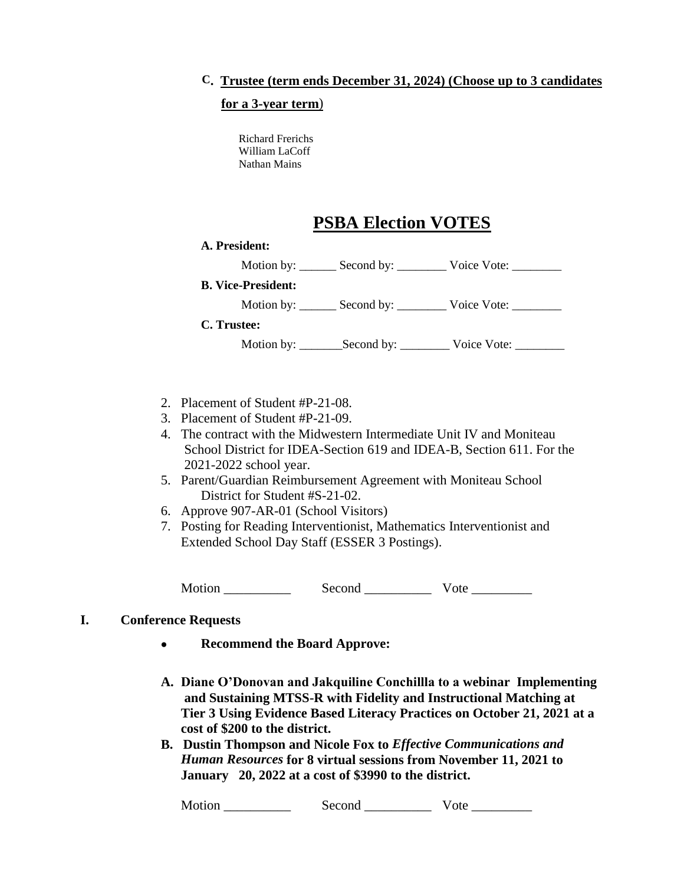## **C. Trustee (term ends December 31, 2024) (Choose up to 3 candidates**

#### **for a 3-year term**)

Richard Frerichs William LaCoff Nathan Mains

## **PSBA Election VOTES**

# **A. President:** Motion by: \_\_\_\_\_\_\_ Second by: \_\_\_\_\_\_\_\_\_ Voice Vote: \_\_\_\_\_\_\_\_ **B. Vice-President:** Motion by: \_\_\_\_\_\_\_ Second by: \_\_\_\_\_\_\_\_\_ Voice Vote: \_\_\_\_\_\_\_\_\_ **C. Trustee:** Motion by: \_\_\_\_\_\_\_Second by: \_\_\_\_\_\_\_\_\_ Voice Vote: \_\_\_\_\_\_\_\_

- 2. Placement of Student #P-21-08.
- 3. Placement of Student #P-21-09.
- 4. The contract with the Midwestern Intermediate Unit IV and Moniteau School District for IDEA-Section 619 and IDEA-B, Section 611. For the 2021-2022 school year.
- 5. Parent/Guardian Reimbursement Agreement with Moniteau School District for Student #S-21-02.
- 6. Approve 907-AR-01 (School Visitors)
- 7. Posting for Reading Interventionist, Mathematics Interventionist and Extended School Day Staff (ESSER 3 Postings).

Motion \_\_\_\_\_\_\_\_\_\_ Second \_\_\_\_\_\_\_\_\_\_ Vote \_\_\_\_\_\_\_\_\_

#### **I. Conference Requests**

- **Recommend the Board Approve:**
- **A. Diane O'Donovan and Jakquiline Conchillla to a webinar Implementing and Sustaining MTSS-R with Fidelity and Instructional Matching at Tier 3 Using Evidence Based Literacy Practices on October 21, 2021 at a cost of \$200 to the district.**
- **B. Dustin Thompson and Nicole Fox to** *Effective Communications and*  *Human Resources* **for 8 virtual sessions from November 11, 2021 to**  **January 20, 2022 at a cost of \$3990 to the district.**

Motion \_\_\_\_\_\_\_\_\_\_\_\_\_\_\_\_\_ Second \_\_\_\_\_\_\_\_\_\_\_\_\_\_\_\_ Vote \_\_\_\_\_\_\_\_\_\_\_\_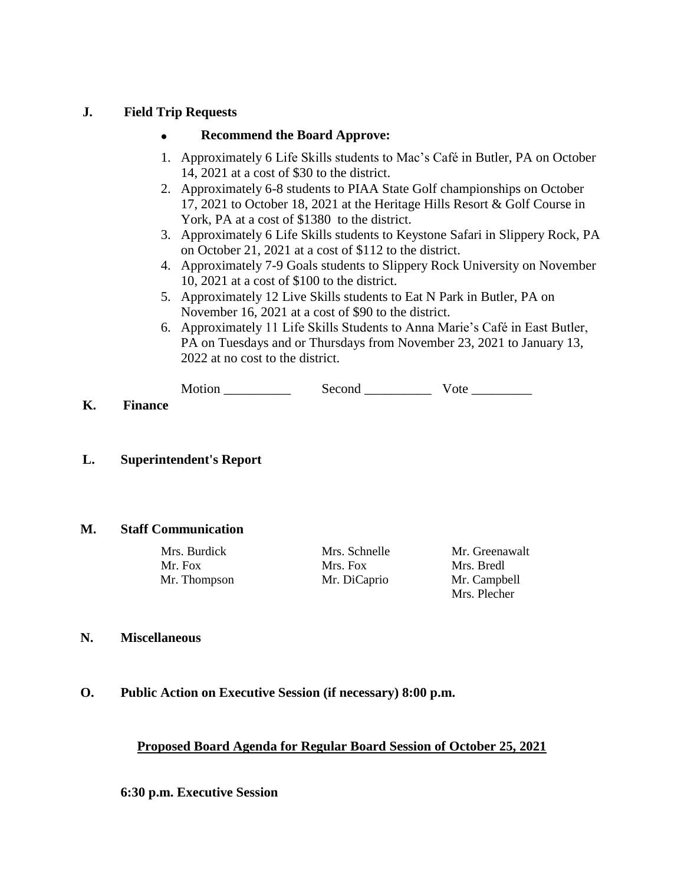#### **J. Field Trip Requests**

#### **Recommend the Board Approve:**

- 1. Approximately 6 Life Skills students to Mac's Café in Butler, PA on October 14, 2021 at a cost of \$30 to the district.
- 2. Approximately 6-8 students to PIAA State Golf championships on October 17, 2021 to October 18, 2021 at the Heritage Hills Resort & Golf Course in York, PA at a cost of \$1380 to the district.
- 3. Approximately 6 Life Skills students to Keystone Safari in Slippery Rock, PA on October 21, 2021 at a cost of \$112 to the district.
- 4. Approximately 7-9 Goals students to Slippery Rock University on November 10, 2021 at a cost of \$100 to the district.
- 5. Approximately 12 Live Skills students to Eat N Park in Butler, PA on November 16, 2021 at a cost of \$90 to the district.
- 6. Approximately 11 Life Skills Students to Anna Marie's Café in East Butler, PA on Tuesdays and or Thursdays from November 23, 2021 to January 13, 2022 at no cost to the district.

| Motion | Second |  |
|--------|--------|--|
|        |        |  |

**K. Finance**

### **L. Superintendent's Report**

#### **M. Staff Communication**

Mr. Fox Mrs. Fox Mrs. Bredl Mr. Thompson Mr. DiCaprio Mr. Campbell

Mrs. Burdick Mrs. Schnelle Mr. Greenawalt Mrs. Plecher

#### **N. Miscellaneous**

#### **O. Public Action on Executive Session (if necessary) 8:00 p.m.**

#### **Proposed Board Agenda for Regular Board Session of October 25, 2021**

**6:30 p.m. Executive Session**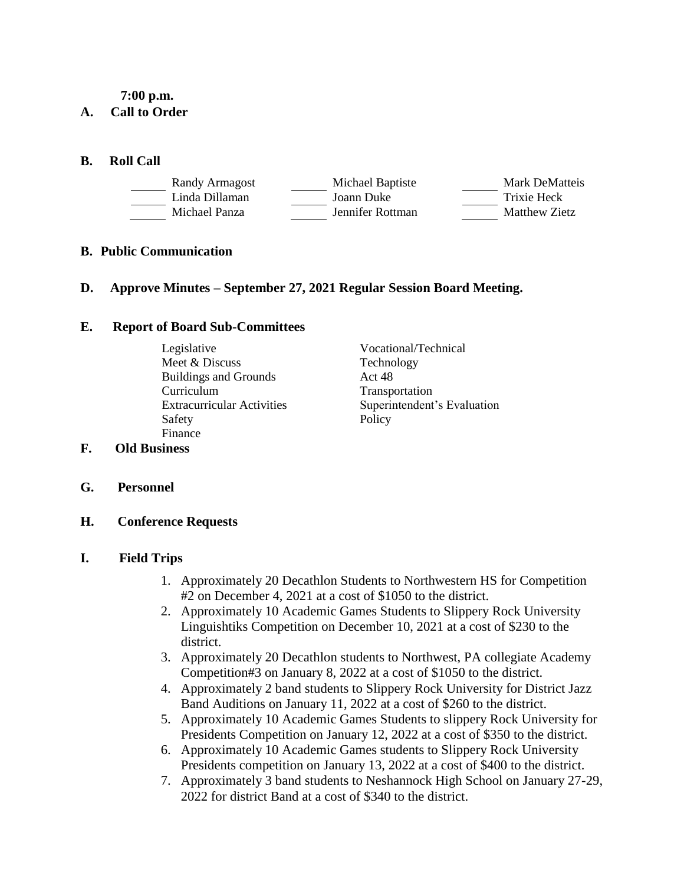#### **7:00 p.m.**

### **A. Call to Order**

#### **B. Roll Call**

| Randy Armagost | Michael Baptiste | <b>Mark DeMatteis</b> |
|----------------|------------------|-----------------------|
| Linda Dillaman | Joann Duke       | Trixie Heck           |
| Michael Panza  | Jennifer Rottman | Matthew Zietz         |

#### **B. Public Communication**

#### **D. Approve Minutes – September 27, 2021 Regular Session Board Meeting.**

#### **E. Report of Board Sub-Committees**

- Legislative Vocational/Technical Meet & Discuss Technology<br>Buildings and Grounds Act 48 Buildings and Grounds Curriculum Transportation Safety Policy Finance
- Extracurricular Activities Superintendent's Evaluation

## **F. Old Business**

**G. Personnel**

## **H. Conference Requests**

#### **I. Field Trips**

- 1. Approximately 20 Decathlon Students to Northwestern HS for Competition #2 on December 4, 2021 at a cost of \$1050 to the district.
- 2. Approximately 10 Academic Games Students to Slippery Rock University Linguishtiks Competition on December 10, 2021 at a cost of \$230 to the district.
- 3. Approximately 20 Decathlon students to Northwest, PA collegiate Academy Competition#3 on January 8, 2022 at a cost of \$1050 to the district.
- 4. Approximately 2 band students to Slippery Rock University for District Jazz Band Auditions on January 11, 2022 at a cost of \$260 to the district.
- 5. Approximately 10 Academic Games Students to slippery Rock University for Presidents Competition on January 12, 2022 at a cost of \$350 to the district.
- 6. Approximately 10 Academic Games students to Slippery Rock University Presidents competition on January 13, 2022 at a cost of \$400 to the district.
- 7. Approximately 3 band students to Neshannock High School on January 27-29, 2022 for district Band at a cost of \$340 to the district.